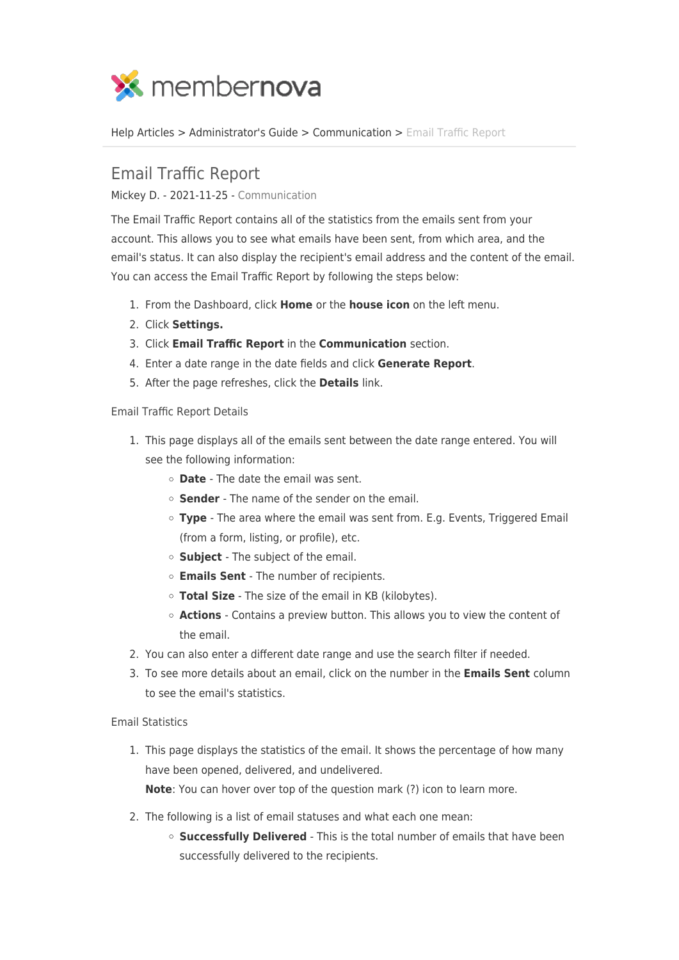

[Help Articles](https://www.membernovasupport.com/kb) > [Administrator's Guide](https://www.membernovasupport.com/kb/administrator-s-guide) > [Communication](https://www.membernovasupport.com/kb/communication-4) > [Email Traffic Report](https://www.membernovasupport.com/kb/articles/email-traffic-report)

## Email Traffic Report

Mickey D. - 2021-11-25 - [Communication](https://www.membernovasupport.com/kb/communication-4)

The Email Traffic Report contains all of the statistics from the emails sent from your account. This allows you to see what emails have been sent, from which area, and the email's status. It can also display the recipient's email address and the content of the email. You can access the Email Traffic Report by following the steps below:

- 1. From the Dashboard, click **Home** or the **house icon** on the left menu.
- 2. Click **Settings.**
- 3. Click **Email Traffic Report** in the **Communication** section.
- 4. Enter a date range in the date fields and click **Generate Report**.
- 5. After the page refreshes, click the **Details** link.

## Email Traffic Report Details

- 1. This page displays all of the emails sent between the date range entered. You will see the following information:
	- **Date**  The date the email was sent.
	- **Sender**  The name of the sender on the email.
	- **Type**  The area where the email was sent from. E.g. Events, Triggered Email (from a form, listing, or profile), etc.
	- **Subject**  The subject of the email.
	- **Emails Sent**  The number of recipients.
	- **Total Size** The size of the email in KB (kilobytes).
	- **Actions**  Contains a preview button. This allows you to view the content of the email.
- 2. You can also enter a different date range and use the search filter if needed.
- 3. To see more details about an email, click on the number in the **Emails Sent** column to see the email's statistics.

## Email Statistics

1. This page displays the statistics of the email. It shows the percentage of how many have been opened, delivered, and undelivered.

**Note**: You can hover over top of the question mark (?) icon to learn more.

- 2. The following is a list of email statuses and what each one mean:
	- **Successfully Delivered** This is the total number of emails that have been successfully delivered to the recipients.